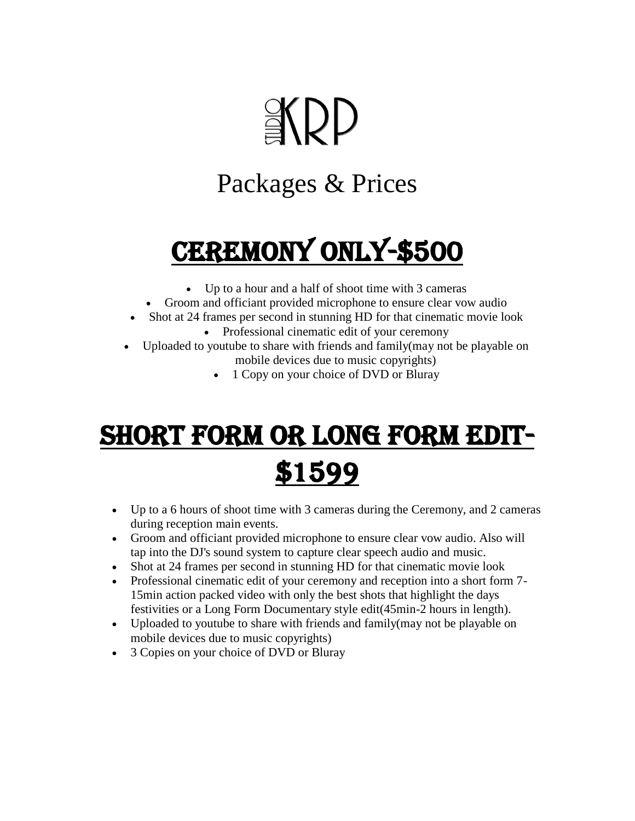# **EKDD**

#### Packages & Prices

# CEREMONY ONLY-\$500

- Up to a hour and a half of shoot time with 3 cameras
- Groom and officiant provided microphone to ensure clear vow audio
- Shot at 24 frames per second in stunning HD for that cinematic movie look
	- Professional cinematic edit of your ceremony
- Uploaded to youtube to share with friends and family(may not be playable on mobile devices due to music copyrights)
	- 1 Copy on your choice of DVD or Bluray

#### Short Form or Long Form Edit- \$1599

- Up to a 6 hours of shoot time with 3 cameras during the Ceremony, and 2 cameras during reception main events.
- Groom and officiant provided microphone to ensure clear vow audio. Also will tap into the DJ's sound system to capture clear speech audio and music.
- Shot at 24 frames per second in stunning HD for that cinematic movie look
- Professional cinematic edit of your ceremony and reception into a short form 7- 15min action packed video with only the best shots that highlight the days festivities or a Long Form Documentary style edit(45min-2 hours in length).
- Uploaded to youtube to share with friends and family(may not be playable on mobile devices due to music copyrights)
- 3 Copies on your choice of DVD or Bluray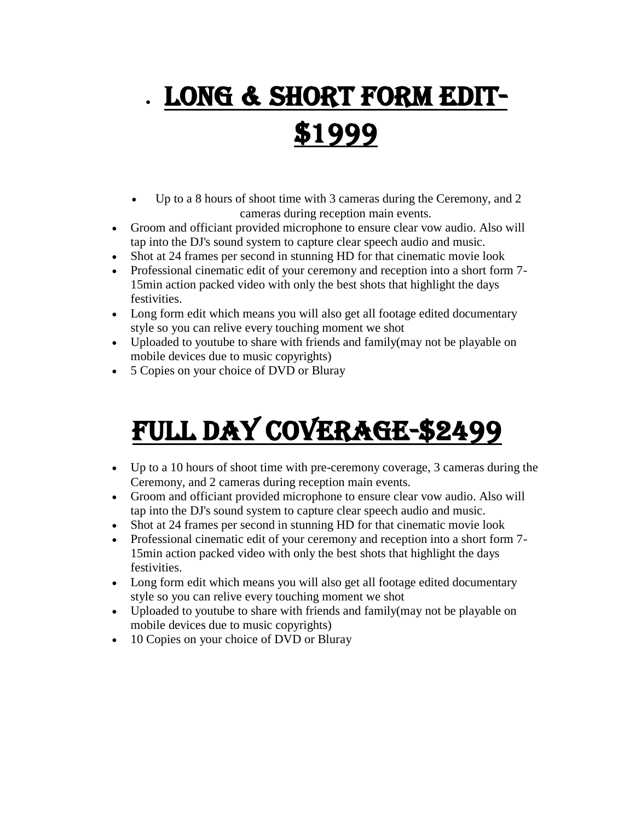# Long & Short Form Edit- \$1999

- Up to a 8 hours of shoot time with 3 cameras during the Ceremony, and 2 cameras during reception main events.
- Groom and officiant provided microphone to ensure clear vow audio. Also will tap into the DJ's sound system to capture clear speech audio and music.
- Shot at 24 frames per second in stunning HD for that cinematic movie look
- Professional cinematic edit of your ceremony and reception into a short form 7- 15min action packed video with only the best shots that highlight the days festivities.
- Long form edit which means you will also get all footage edited documentary style so you can relive every touching moment we shot
- Uploaded to youtube to share with friends and family (may not be playable on mobile devices due to music copyrights)
- 5 Copies on your choice of DVD or Bluray

### Full Day Coverage-\$2499

- Up to a 10 hours of shoot time with pre-ceremony coverage, 3 cameras during the Ceremony, and 2 cameras during reception main events.
- Groom and officiant provided microphone to ensure clear vow audio. Also will tap into the DJ's sound system to capture clear speech audio and music.
- Shot at 24 frames per second in stunning HD for that cinematic movie look
- Professional cinematic edit of your ceremony and reception into a short form 7- 15min action packed video with only the best shots that highlight the days festivities.
- Long form edit which means you will also get all footage edited documentary style so you can relive every touching moment we shot
- Uploaded to youtube to share with friends and family (may not be playable on mobile devices due to music copyrights)
- 10 Copies on your choice of DVD or Bluray